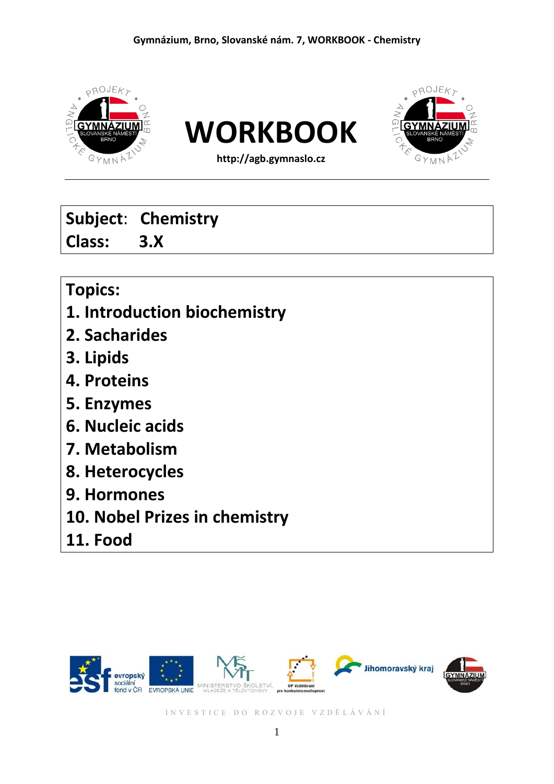

# **Subject**: **Chemistry Class: 3.X**

# **Topics:**

- **1. Introduction biochemistry**
- **2. Sacharides**
- **3. Lipids**
- **4. Proteins**
- **5. Enzymes**
- **6. Nucleic acids**
- **7. Metabolism**
- **8. Heterocycles**
- **9. Hormones**
- **10. Nobel Prizes in chemistry**
- **11. Food**

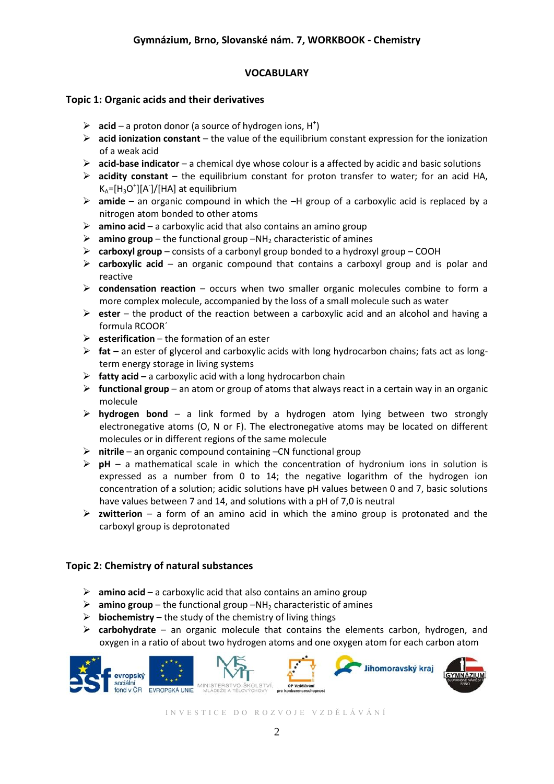### **VOCABULARY**

### **Topic 1: Organic acids and their derivatives**

- $\triangleright$  **acid** a proton donor (a source of hydrogen ions, H<sup>+</sup>)
- $\triangleright$  **acid ionization constant** the value of the equilibrium constant expression for the ionization of a weak acid
- **acid-base indicator** a chemical dye whose colour is a affected by acidic and basic solutions
- **acidity constant** the equilibrium constant for proton transfer to water; for an acid HA,  $K_A = [H_3O^+] [A^-] / [HA]$  at equilibrium
- **amide**  an organic compound in which the –H group of a carboxylic acid is replaced by a nitrogen atom bonded to other atoms
- **amino acid**  a carboxylic acid that also contains an amino group
- $\triangleright$  amino group the functional group –NH<sub>2</sub> characteristic of amines
- **carboxyl group**  consists of a carbonyl group bonded to a hydroxyl group COOH
- **carboxylic acid**  an organic compound that contains a carboxyl group and is polar and reactive
- **condensation reaction**  occurs when two smaller organic molecules combine to form a more complex molecule, accompanied by the loss of a small molecule such as water
- **ester**  the product of the reaction between a carboxylic acid and an alcohol and having a formula RCOOR´
- **esterification**  the formation of an ester
- **fat –** an ester of glycerol and carboxylic acids with long hydrocarbon chains; fats act as longterm energy storage in living systems
- **fatty acid –** a carboxylic acid with a long hydrocarbon chain
- **functional group**  an atom or group of atoms that always react in a certain way in an organic molecule
- **hydrogen bond** a link formed by a hydrogen atom lying between two strongly electronegative atoms (O, N or F). The electronegative atoms may be located on different molecules or in different regions of the same molecule
- **nitrile**  an organic compound containing –CN functional group
- $\triangleright$  **pH** a mathematical scale in which the concentration of hydronium ions in solution is expressed as a number from 0 to 14; the negative logarithm of the hydrogen ion concentration of a solution; acidic solutions have pH values between 0 and 7, basic solutions have values between 7 and 14, and solutions with a pH of 7,0 is neutral
- $\triangleright$  **zwitterion** a form of an amino acid in which the amino group is protonated and the carboxyl group is deprotonated

### **Topic 2: Chemistry of natural substances**

- **amino acid**  a carboxylic acid that also contains an amino group
- $\triangleright$  amino group the functional group –NH<sub>2</sub> characteristic of amines
- $\triangleright$  **biochemistry** the study of the chemistry of living things
- **carbohydrate** an organic molecule that contains the elements carbon, hydrogen, and oxygen in a ratio of about two hydrogen atoms and one oxygen atom for each carbon atom

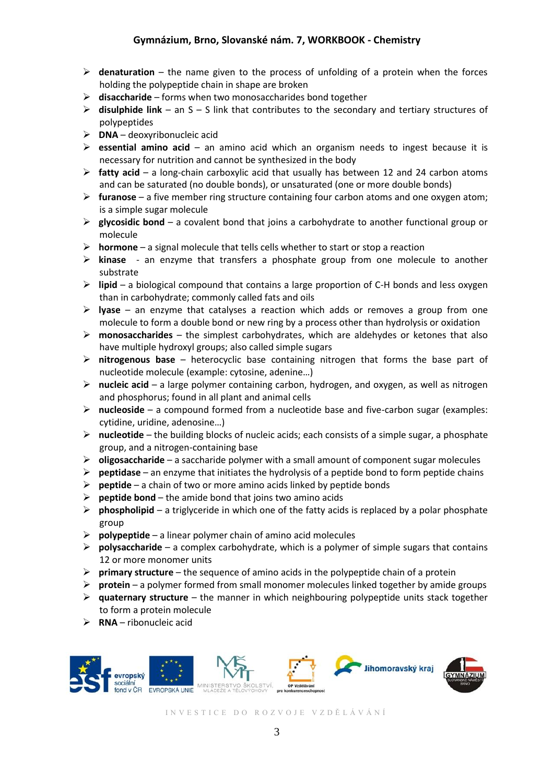- **denaturation** the name given to the process of unfolding of a protein when the forces holding the polypeptide chain in shape are broken
- **disaccharide**  forms when two monosaccharides bond together
- **disulphide link**  an S S link that contributes to the secondary and tertiary structures of polypeptides
- **DNA**  deoxyribonucleic acid
- **essential amino acid**  an amino acid which an organism needs to ingest because it is necessary for nutrition and cannot be synthesized in the body
- **fatty acid**  a long-chain carboxylic acid that usually has between 12 and 24 carbon atoms and can be saturated (no double bonds), or unsaturated (one or more double bonds)
- **furanose**  a five member ring structure containing four carbon atoms and one oxygen atom; is a simple sugar molecule
- **glycosidic bond**  a covalent bond that joins a carbohydrate to another functional group or molecule
- **hormone**  a signal molecule that tells cells whether to start or stop a reaction
- **kinase**  an enzyme that transfers a phosphate group from one molecule to another substrate
- **lipid**  a biological compound that contains a large proportion of C-H bonds and less oxygen than in carbohydrate; commonly called fats and oils
- **lyase**  an enzyme that catalyses a reaction which adds or removes a group from one molecule to form a double bond or new ring by a process other than hydrolysis or oxidation
- **monosaccharides**  the simplest carbohydrates, which are aldehydes or ketones that also have multiple hydroxyl groups; also called simple sugars
- **nitrogenous base** heterocyclic base containing nitrogen that forms the base part of nucleotide molecule (example: cytosine, adenine…)
- **nucleic acid**  a large polymer containing carbon, hydrogen, and oxygen, as well as nitrogen and phosphorus; found in all plant and animal cells
- **nucleoside**  a compound formed from a nucleotide base and five-carbon sugar (examples: cytidine, uridine, adenosine…)
- **nucleotide**  the building blocks of nucleic acids; each consists of a simple sugar, a phosphate group, and a nitrogen-containing base
- **oligosaccharide** a saccharide polymer with a small amount of component sugar molecules
- **peptidase** an enzyme that initiates the hydrolysis of a peptide bond to form peptide chains
- **peptide**  a chain of two or more amino acids linked by peptide bonds
- $\triangleright$  **peptide bond** the amide bond that joins two amino acids
- $\triangleright$  **phospholipid** a triglyceride in which one of the fatty acids is replaced by a polar phosphate group
- **polypeptide**  a linear polymer chain of amino acid molecules
- **polysaccharide**  a complex carbohydrate, which is a polymer of simple sugars that contains 12 or more monomer units
- **P** primary structure the sequence of amino acids in the polypeptide chain of a protein
- **protein**  a polymer formed from small monomer molecules linked together by amide groups
- **quaternary structure**  the manner in which neighbouring polypeptide units stack together to form a protein molecule
- $\triangleright$  **RNA** ribonucleic acid

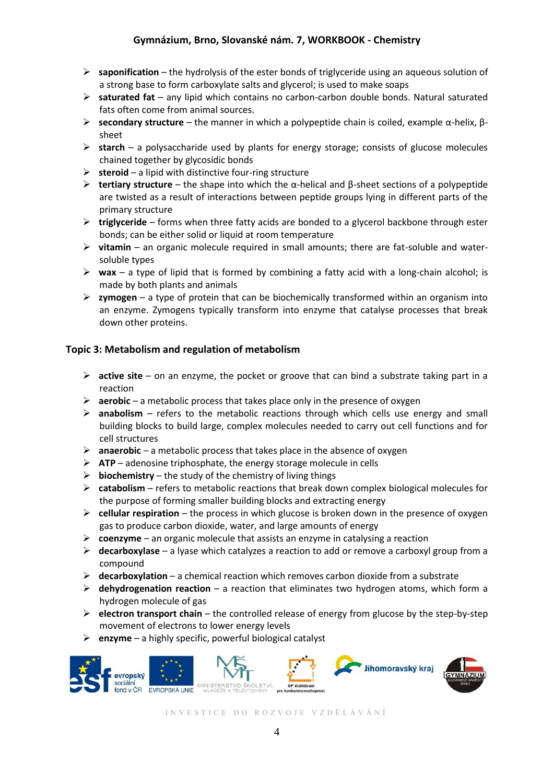- **saponification**  the hydrolysis of the ester bonds of triglyceride using an aqueous solution of a strong base to form carboxylate salts and glycerol; is used to make soaps
- **saturated fat**  any lipid which contains no carbon-carbon double bonds. Natural saturated fats often come from animal sources.
- **secondary structure**  the manner in which a polypeptide chain is coiled, example α-helix, βsheet
- **starch** a polysaccharide used by plants for energy storage; consists of glucose molecules chained together by glycosidic bonds
- **steroid**  a lipid with distinctive four-ring structure
- **tertiary structure**  the shape into which the α-helical and β-sheet sections of a polypeptide are twisted as a result of interactions between peptide groups lying in different parts of the primary structure
- **triglyceride**  forms when three fatty acids are bonded to a glycerol backbone through ester bonds; can be either solid or liquid at room temperature
- **vitamin**  an organic molecule required in small amounts; there are fat-soluble and watersoluble types
- $\triangleright$  **wax** a type of lipid that is formed by combining a fatty acid with a long-chain alcohol; is made by both plants and animals
- $\triangleright$  **zymogen** a type of protein that can be biochemically transformed within an organism into an enzyme. Zymogens typically transform into enzyme that catalyse processes that break down other proteins.

### **Topic 3: Metabolism and regulation of metabolism**

- **active site** on an enzyme, the pocket or groove that can bind a substrate taking part in a reaction
- **aerobic**  a metabolic process that takes place only in the presence of oxygen
- **anabolism**  refers to the metabolic reactions through which cells use energy and small building blocks to build large, complex molecules needed to carry out cell functions and for cell structures
- **anaerobic** a metabolic process that takes place in the absence of oxygen
- **ATP**  adenosine triphosphate, the energy storage molecule in cells
- $\triangleright$  **biochemistry** the study of the chemistry of living things
- **catabolism**  refers to metabolic reactions that break down complex biological molecules for the purpose of forming smaller building blocks and extracting energy
- **cellular respiration**  the process in which glucose is broken down in the presence of oxygen gas to produce carbon dioxide, water, and large amounts of energy
- **coenzyme** an organic molecule that assists an enzyme in catalysing a reaction
- **decarboxylase**  a lyase which catalyzes a reaction to add or remove a carboxyl group from a compound
- **decarboxylation**  a chemical reaction which removes carbon dioxide from a substrate
- **dehydrogenation reaction**  a reaction that eliminates two hydrogen atoms, which form a hydrogen molecule of gas
- **electron transport chain**  the controlled release of energy from glucose by the step-by-step movement of electrons to lower energy levels
- **enzyme**  a highly specific, powerful biological catalyst

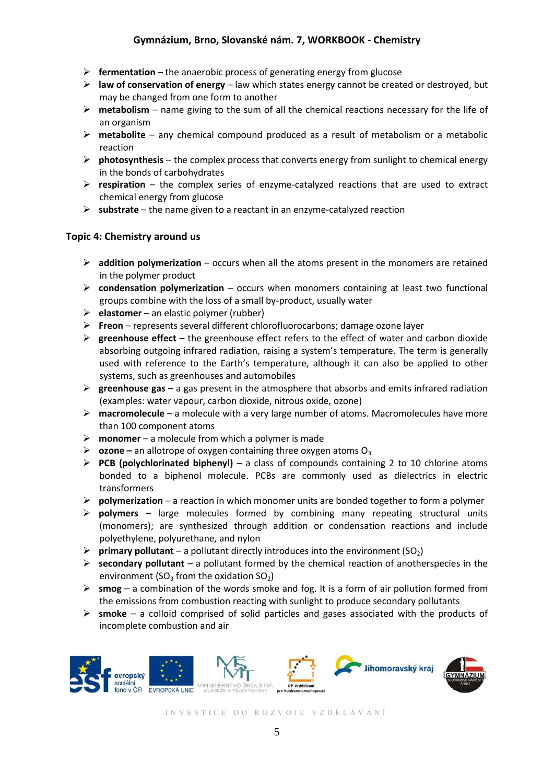- **fermentation**  the anaerobic process of generating energy from glucose
- **E** law of conservation of energy law which states energy cannot be created or destroyed, but may be changed from one form to another
- **metabolism**  name giving to the sum of all the chemical reactions necessary for the life of an organism
- **metabolite**  any chemical compound produced as a result of metabolism or a metabolic reaction
- **photosynthesis**  the complex process that converts energy from sunlight to chemical energy in the bonds of carbohydrates
- **respiration**  the complex series of enzyme-catalyzed reactions that are used to extract chemical energy from glucose
- **substrate**  the name given to a reactant in an enzyme-catalyzed reaction

### **Topic 4: Chemistry around us**

- **addition polymerization**  occurs when all the atoms present in the monomers are retained in the polymer product
- **condensation polymerization**  occurs when monomers containing at least two functional groups combine with the loss of a small by-product, usually water
- **elastomer** an elastic polymer (rubber)
- **Freon**  represents several different chlorofluorocarbons; damage ozone layer
- **greenhouse effect** the greenhouse effect refers to the effect of water and carbon dioxide absorbing outgoing infrared radiation, raising a system's temperature. The term is generally used with reference to the Earth's temperature, although it can also be applied to other systems, such as greenhouses and automobiles
- $\triangleright$  **greenhouse gas** a gas present in the atmosphere that absorbs and emits infrared radiation (examples: water vapour, carbon dioxide, nitrous oxide, ozone)
- **macromolecule**  a molecule with a very large number of atoms. Macromolecules have more than 100 component atoms
- **monomer**  a molecule from which a polymer is made
- $\triangleright$  **ozone** an allotrope of oxygen containing three oxygen atoms O<sub>3</sub>
- **PCB (polychlorinated biphenyl)**  a class of compounds containing 2 to 10 chlorine atoms bonded to a biphenol molecule. PCBs are commonly used as dielectrics in electric transformers
- **polymerization**  a reaction in which monomer units are bonded together to form a polymer
- **polymers**  large molecules formed by combining many repeating structural units (monomers); are synthesized through addition or condensation reactions and include polyethylene, polyurethane, and nylon
- **Primary pollutant** a pollutant directly introduces into the environment  $(SO_2)$
- $\triangleright$  **secondary pollutant** a pollutant formed by the chemical reaction of anotherspecies in the environment (SO<sub>3</sub> from the oxidation SO<sub>2</sub>)
- $\triangleright$  smog a combination of the words smoke and fog. It is a form of air pollution formed from the emissions from combustion reacting with sunlight to produce secondary pollutants
- **smoke**  a colloid comprised of solid particles and gases associated with the products of incomplete combustion and air

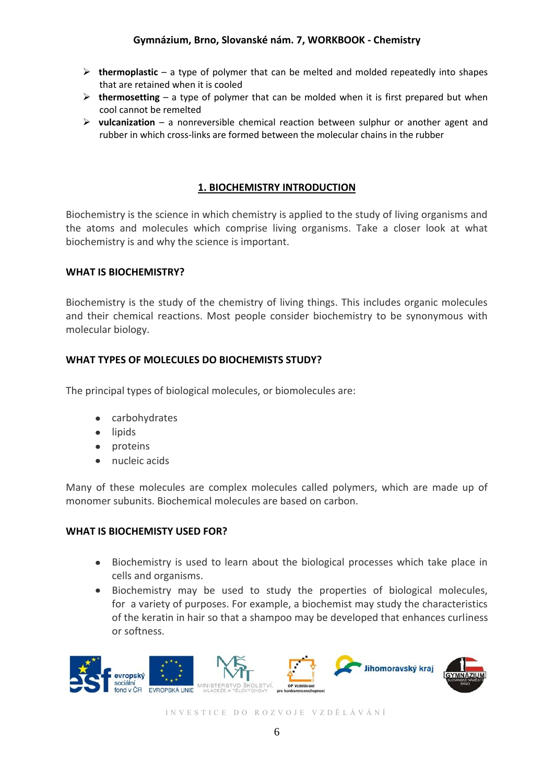- **thermoplastic** a type of polymer that can be melted and molded repeatedly into shapes that are retained when it is cooled
- $\triangleright$  thermosetting  $-$  a type of polymer that can be molded when it is first prepared but when cool cannot be remelted
- **vulcanization** a nonreversible chemical reaction between sulphur or another agent and rubber in which cross-links are formed between the molecular chains in the rubber

# **1. BIOCHEMISTRY INTRODUCTION**

Biochemistry is the science in which chemistry is applied to the study of living organisms and the atoms and molecules which comprise living organisms. Take a closer look at what biochemistry is and why the science is important.

# **WHAT IS BIOCHEMISTRY?**

Biochemistry is the study of the chemistry of living things. This includes organic molecules and their chemical reactions. Most people consider biochemistry to be synonymous with molecular biology.

# **WHAT TYPES OF MOLECULES DO BIOCHEMISTS STUDY?**

The principal types of biological molecules, or biomolecules are:

- carbohydrates
- lipids
- proteins
- nucleic acids

Many of these molecules are complex molecules called polymers, which are made up of monomer subunits. Biochemical molecules are based on carbon.

### **WHAT IS BIOCHEMISTY USED FOR?**

- Biochemistry is used to learn about the biological processes which take place in cells and organisms.
- Biochemistry may be used to study the properties of biological molecules, for a variety of purposes. For example, a biochemist may study the characteristics of the keratin in hair so that a shampoo may be developed that enhances curliness or softness.

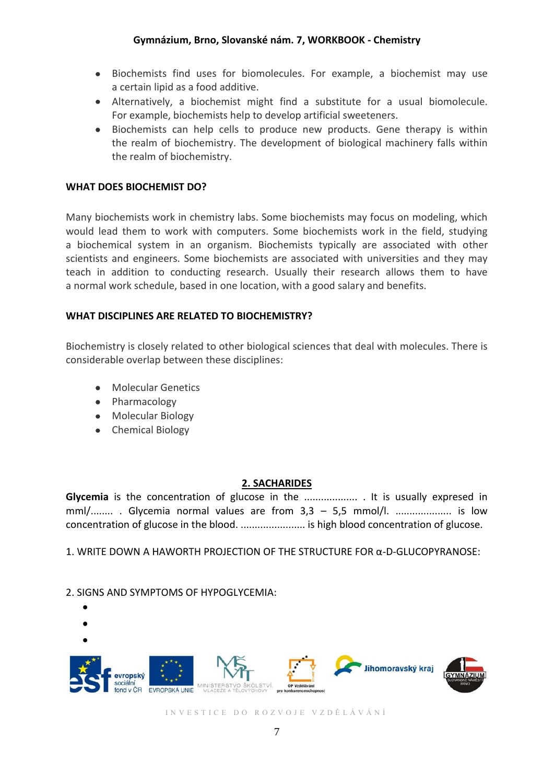- Biochemists find uses for biomolecules. For example, a biochemist may use a certain lipid as a food additive.
- Alternatively, a biochemist might find a substitute for a usual biomolecule. For example, biochemists help to develop artificial sweeteners.
- Biochemists can help cells to produce new products. Gene therapy is within the realm of biochemistry. The development of biological machinery falls within the realm of biochemistry.

### **WHAT DOES BIOCHEMIST DO?**

Many biochemists work in chemistry labs. Some biochemists may focus on modeling, which would lead them to work with computers. Some biochemists work in the field, studying a biochemical system in an organism. Biochemists typically are associated with other scientists and engineers. Some biochemists are associated with universities and they may teach in addition to conducting research. Usually their research allows them to have a normal work schedule, based in one location, with a good salary and benefits.

### **WHAT DISCIPLINES ARE RELATED TO BIOCHEMISTRY?**

Biochemistry is closely related to other biological sciences that deal with molecules. There is considerable overlap between these disciplines:

- Molecular Genetics
- Pharmacology
- Molecular Biology
- Chemical Biology

### **2. SACHARIDES**

**Glycemia** is the concentration of glucose in the ........................ It is usually expresed in mml/......... Glycemia normal values are from 3,3 - 5,5 mmol/l. ..................... is low concentration of glucose in the blood. ....................... is high blood concentration of glucose.

1. WRITE DOWN A HAWORTH PROJECTION OF THE STRUCTURE FOR α-D-GLUCOPYRANOSE:

### 2. SIGNS AND SYMPTOMS OF HYPOGLYCEMIA:

Jihomoravský kraj evronský ond v ČR EVROPSKÁ UNIE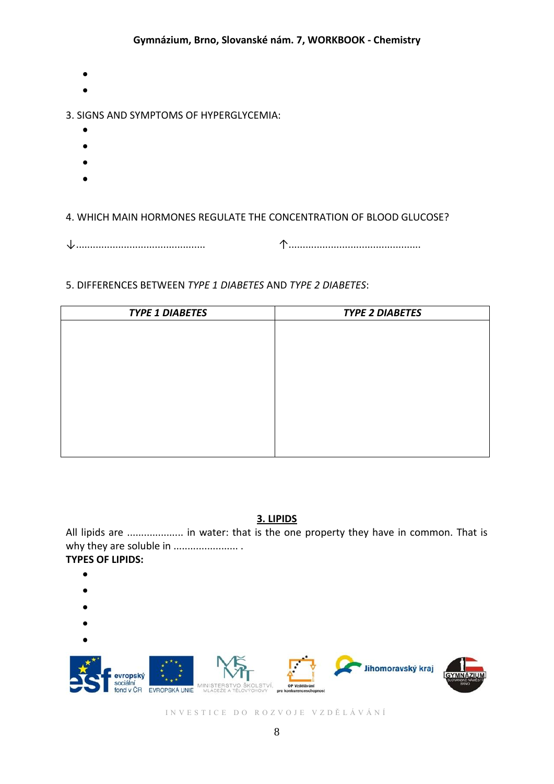- 
- 

# 3. SIGNS AND SYMPTOMS OF HYPERGLYCEMIA:

- 
- 
- 
- 
- 

# 4. WHICH MAIN HORMONES REGULATE THE CONCENTRATION OF BLOOD GLUCOSE?

↓.............................................. ↑...............................................

# 5. DIFFERENCES BETWEEN *TYPE 1 DIABETES* AND *TYPE 2 DIABETES*:

| <b>TYPE 1 DIABETES</b> | <b>TYPE 2 DIABETES</b> |  |
|------------------------|------------------------|--|
|                        |                        |  |
|                        |                        |  |
|                        |                        |  |
|                        |                        |  |
|                        |                        |  |
|                        |                        |  |
|                        |                        |  |
|                        |                        |  |
|                        |                        |  |

### **3. LIPIDS**

All lipids are ...................... in water: that is the one property they have in common. That is why they are soluble in ....................... . **TYPES OF LIPIDS:**

- 
- 
- 
- 
- 

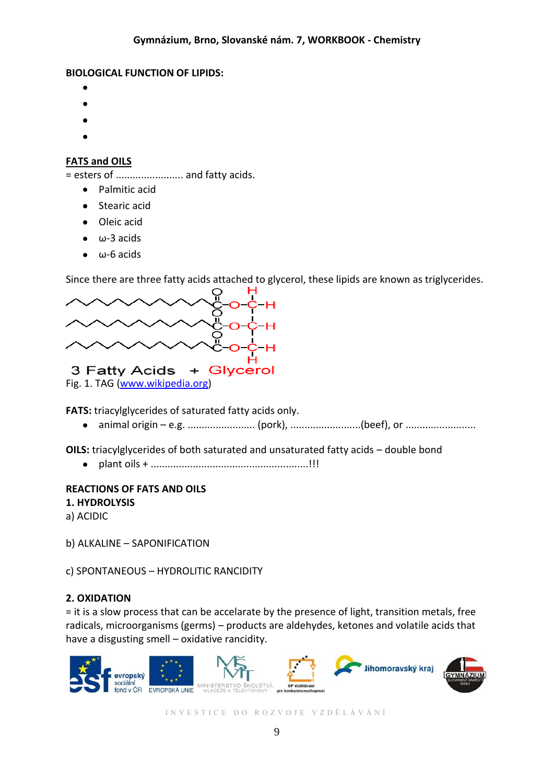### **BIOLOGICAL FUNCTION OF LIPIDS:**

- 
- 
- 
- 
- 

# **FATS and OILS**

= esters of ........................ and fatty acids.

- Palmitic acid
- Stearic acid
- Oleic acid
- $\bullet$   $\omega$ -3 acids
- $\bullet$   $\omega$ -6 acids

Since there are three fatty acids attached to glycerol, these lipids are known as triglycerides.



**FATS:** triacylglycerides of saturated fatty acids only.

animal origin – e.g. .......................... (pork), ........................(beef), or ....................  $\bullet$ 

**OILS:** triacylglycerides of both saturated and unsaturated fatty acids – double bond

plant oils + ........................................................!!!  $\bullet$ 

# **REACTIONS OF FATS AND OILS**

**1. HYDROLYSIS**

a) ACIDIC

b) ALKALINE – SAPONIFICATION

c) SPONTANEOUS – HYDROLITIC RANCIDITY

# **2. OXIDATION**

= it is a slow process that can be accelarate by the presence of light, transition metals, free radicals, microorganisms (germs) – products are aldehydes, ketones and volatile acids that have a disgusting smell – oxidative rancidity.

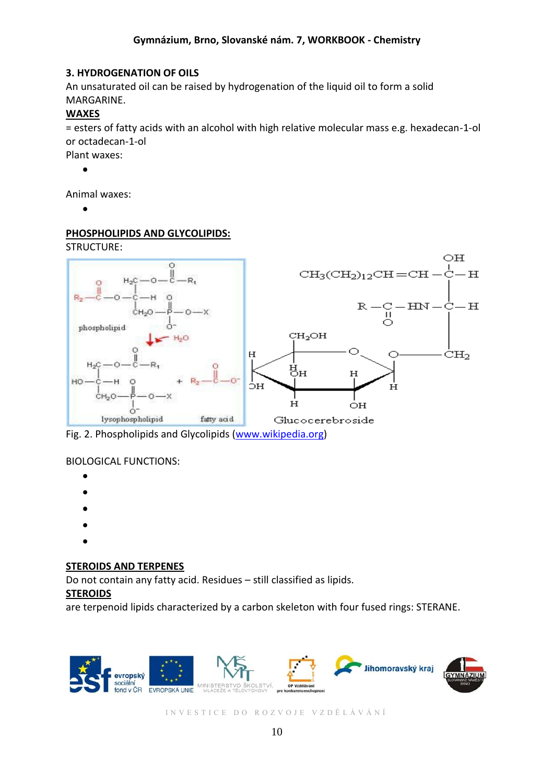### **3. HYDROGENATION OF OILS**

An unsaturated oil can be raised by hydrogenation of the liquid oil to form a solid MARGARINE.

### **WAXES**

= esters of fatty acids with an alcohol with high relative molecular mass e.g. hexadecan-1-ol or octadecan-1-ol

Plant waxes:

 $\bullet$ 

Animal waxes:

 $\bullet$ 

# **PHOSPHOLIPIDS AND GLYCOLIPIDS:**

STRUCTURE:



Fig. 2. Phospholipids and Glycolipids [\(www.wikipedia.org\)](http://www.wikipedia.org/)

# BIOLOGICAL FUNCTIONS:

- 
- 
- 
- 
- 

# **STEROIDS AND TERPENES**

Do not contain any fatty acid. Residues – still classified as lipids.

# **STEROIDS**

are terpenoid lipids characterized by a carbon skeleton with four fused rings: STERANE.

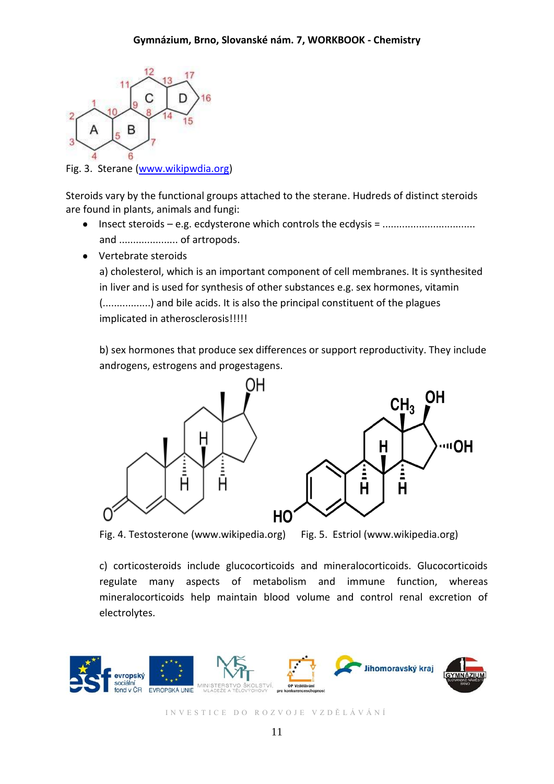

Fig. 3. Sterane [\(www.wikipwdia.org\)](http://www.wikipwdia.org/)

Steroids vary by the functional groups attached to the sterane. Hudreds of distinct steroids are found in plants, animals and fungi:

- Insect steroids e.g. ecdysterone which controls the ecdysis = ................................. and ..................... of artropods.
- Vertebrate steroids

a) cholesterol, which is an important component of cell membranes. It is synthesited in liver and is used for synthesis of other substances e.g. sex hormones, vitamin (.................) and bile acids. It is also the principal constituent of the plagues implicated in atherosclerosis!!!!!

b) sex hormones that produce sex differences or support reproductivity. They include androgens, estrogens and progestagens.



Fig. 4. Testosterone (www.wikipedia.org) Fig. 5. Estriol (www.wikipedia.org)

c) corticosteroids include glucocorticoids and mineralocorticoids. Glucocorticoids regulate many aspects of metabolism and immune function, whereas mineralocorticoids help maintain blood volume and control renal excretion of electrolytes.

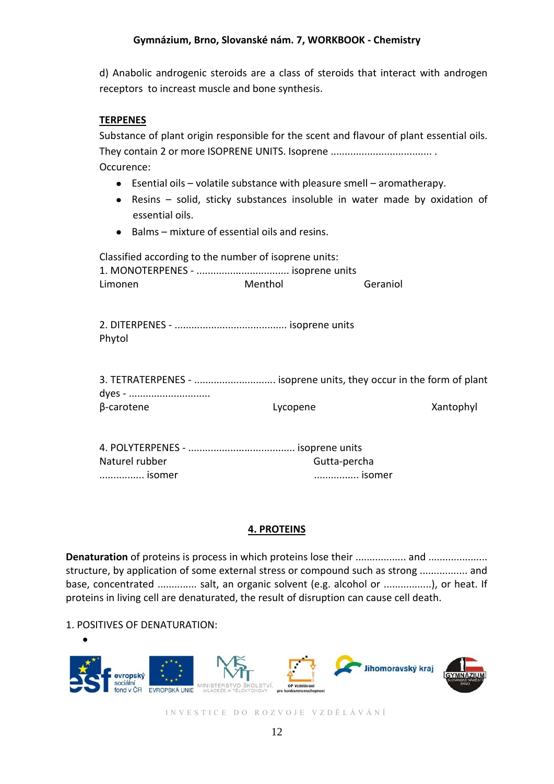d) Anabolic androgenic steroids are a class of steroids that interact with androgen receptors to increast muscle and bone synthesis.

### **TERPENES**

Substance of plant origin responsible for the scent and flavour of plant essential oils. They contain 2 or more ISOPRENE UNITS. Isoprene .................................... . Occurence:

- Esential oils volatile substance with pleasure smell aromatherapy.
- Resins solid, sticky substances insoluble in water made by oxidation of essential oils.
- Balms mixture of essential oils and resins.

Classified according to the number of isoprene units: 1. MONOTERPENES - ................................. isoprene units Limonen Menthol Geraniol

2. DITERPENES - ........................................ isoprene units Phytol

| 3. TETRATERPENES -  isoprene units, they occur in the form of plant |          |           |
|---------------------------------------------------------------------|----------|-----------|
|                                                                     |          |           |
| $\beta$ -carotene                                                   | Lycopene | Xantophyl |

| Naturel rubber | Gutta-percha |
|----------------|--------------|
| isomer         | isomer       |

### **4. PROTEINS**

**Denaturation** of proteins is process in which proteins lose their .................. and ..................... structure, by application of some external stress or compound such as strong ................. and base, concentrated .............. salt, an organic solvent (e.g. alcohol or .................), or heat. If proteins in living cell are denaturated, the result of disruption can cause cell death.

# 1. POSITIVES OF DENATURATION:

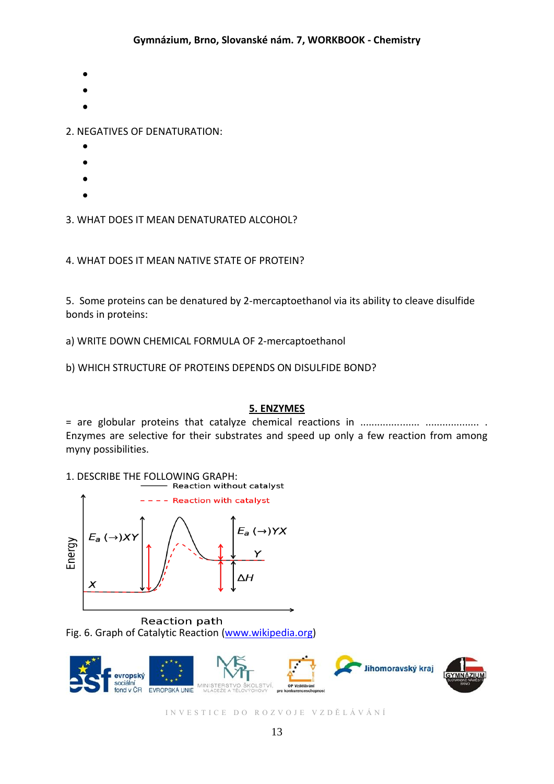- 
- 
- 

2. NEGATIVES OF DENATURATION:

- 
- 
- 
- 

3. WHAT DOES IT MEAN DENATURATED ALCOHOL?

4. WHAT DOES IT MEAN NATIVE STATE OF PROTEIN?

5. Some proteins can be denatured by 2-mercaptoethanol via its ability to cleave disulfide bonds in proteins:

a) WRITE DOWN CHEMICAL FORMULA OF 2-mercaptoethanol

b) WHICH STRUCTURE OF PROTEINS DEPENDS ON DISULFIDE BOND?

# **5. ENZYMES**

= are globular proteins that catalyze chemical reactions in ..................... ................... . Enzymes are selective for their substrates and speed up only a few reaction from among myny possibilities.

1. DESCRIBE THE FOLLOWING GRAPH:<br>Reaction without catalyst



Reaction path Fig. 6. Graph of Catalytic Reaction [\(www.wikipedia.org\)](http://www.wikipedia.org/)

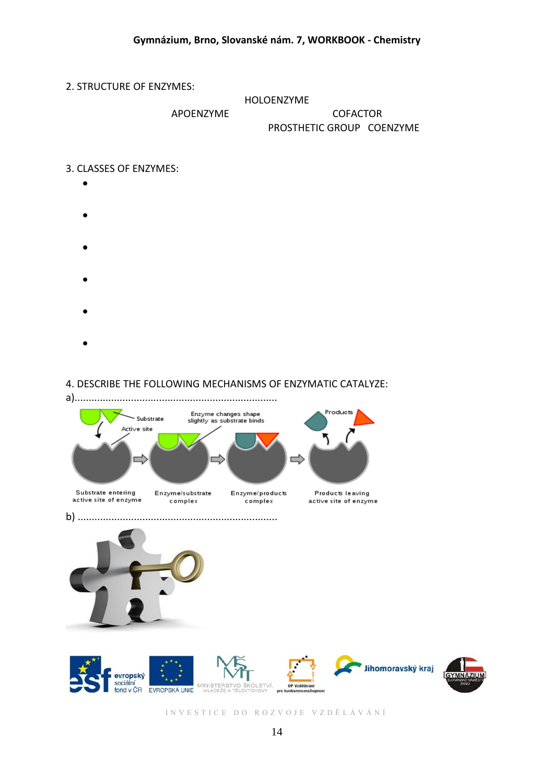### 2. STRUCTURE OF ENZYMES:

#### HOLOENZYME

# APOENZYME COFACTOR

# PROSTHETIC GROUP COENZYME

### 3. CLASSES OF ENZYMES:

- 
- 
- 
- 
- 

# 4. DESCRIBE THE FOLLOWING MECHANISMS OF ENZYMATIC CATALYZE:

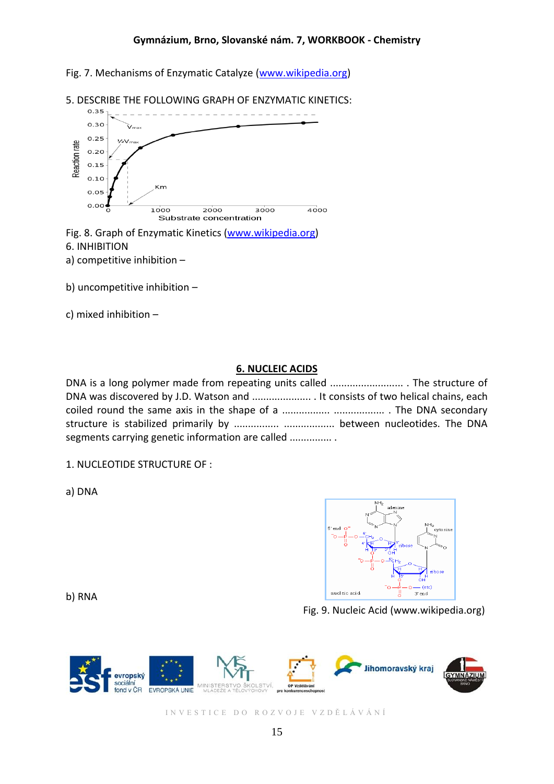Fig. 7. Mechanisms of Enzymatic Catalyze [\(www.wikipedia.org\)](http://www.wikipedia.org/)



5. DESCRIBE THE FOLLOWING GRAPH OF ENZYMATIC KINETICS:

Fig. 8. Graph of Enzymatic Kinetics [\(www.wikipedia.org\)](http://www.wikipedia.org/) 6. INHIBITION a) competitive inhibition –

b) uncompetitive inhibition –

c) mixed inhibition –

### **6. NUCLEIC ACIDS**

DNA is a long polymer made from repeating units called .......................... . The structure of DNA was discovered by J.D. Watson and ..................... . It consists of two helical chains, each coiled round the same axis in the shape of a ................. .................. . The DNA secondary structure is stabilized primarily by ................ .................. between nucleotides. The DNA segments carrying genetic information are called ............... .

1. NUCLEOTIDE STRUCTURE OF :

a) DNA

b) RNA



Fig. 9. Nucleic Acid (www.wikipedia.org)

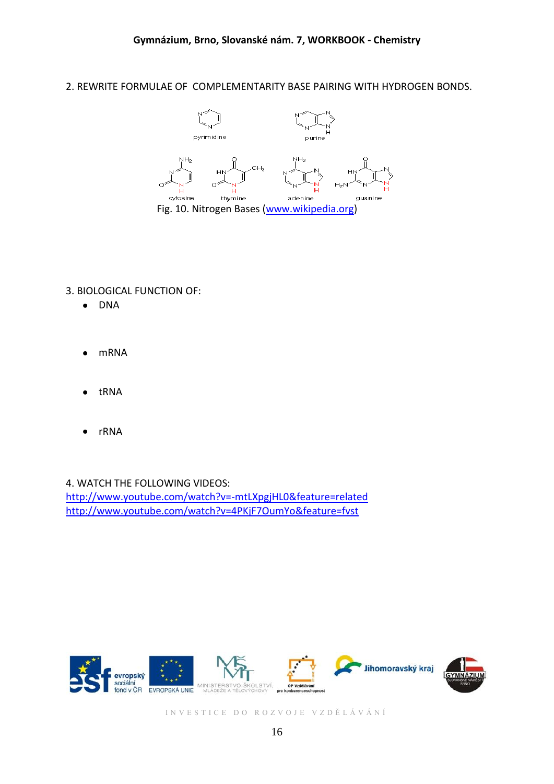### 2. REWRITE FORMULAE OF COMPLEMENTARITY BASE PAIRING WITH HYDROGEN BONDS.



# 3. BIOLOGICAL FUNCTION OF:

- DNA
- mRNA
- tRNA
- rRNA

#### 4. WATCH THE FOLLOWING VIDEOS:

<http://www.youtube.com/watch?v=-mtLXpgjHL0&feature=related> <http://www.youtube.com/watch?v=4PKjF7OumYo&feature=fvst>

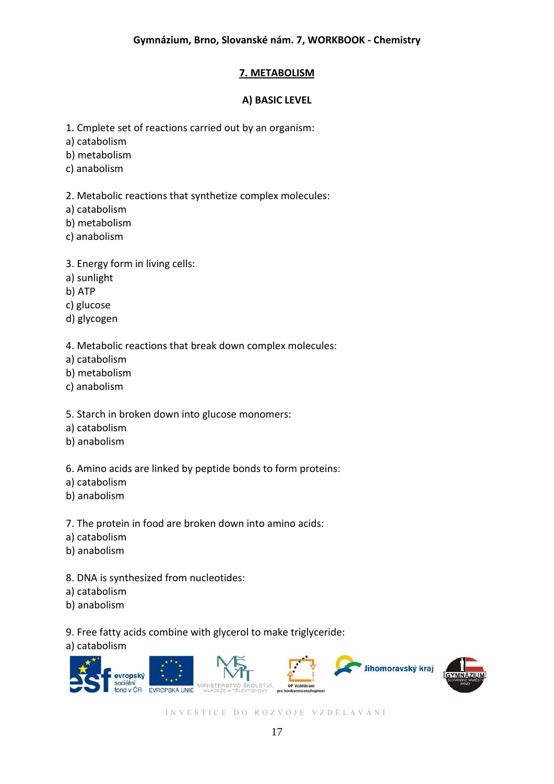# **7. METABOLISM**

# **A) BASIC LEVEL**

1. Cmplete set of reactions carried out by an organism:

a) catabolism

b) metabolism

c) anabolism

2. Metabolic reactions that synthetize complex molecules:

a) catabolism

b) metabolism

c) anabolism

3. Energy form in living cells:

a) sunlight

b) ATP

c) glucose

d) glycogen

4. Metabolic reactions that break down complex molecules:

a) catabolism

b) metabolism

c) anabolism

5. Starch in broken down into glucose monomers:

a) catabolism

b) anabolism

6. Amino acids are linked by peptide bonds to form proteins:

a) catabolism

b) anabolism

7. The protein in food are broken down into amino acids:

a) catabolism

b) anabolism

8. DNA is synthesized from nucleotides:

a) catabolism

b) anabolism

9. Free fatty acids combine with glycerol to make triglyceride:

a) catabolism

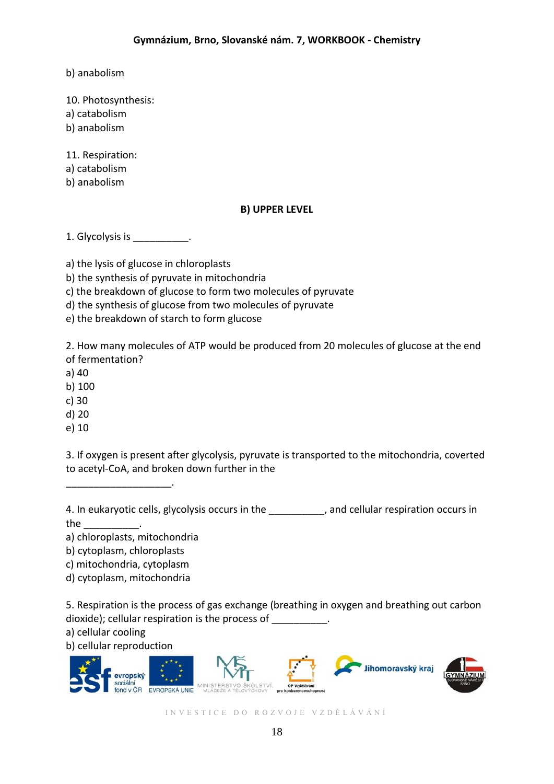b) anabolism

10. Photosynthesis:

- a) catabolism
- b) anabolism

11. Respiration:

a) catabolism

b) anabolism

# **B) UPPER LEVEL**

1. Glycolysis is \_\_\_\_\_\_\_\_\_\_.

a) the lysis of glucose in chloroplasts

b) the synthesis of pyruvate in mitochondria

c) the breakdown of glucose to form two molecules of pyruvate

d) the synthesis of glucose from two molecules of pyruvate

e) the breakdown of starch to form glucose

2. How many molecules of ATP would be produced from 20 molecules of glucose at the end of fermentation?

a) 40

b) 100

c) 30

d) 20

e) 10

3. If oxygen is present after glycolysis, pyruvate is transported to the mitochondria, coverted to acetyl-CoA, and broken down further in the

4. In eukaryotic cells, glycolysis occurs in the \_\_\_\_\_\_\_\_\_\_, and cellular respiration occurs in

the \_\_\_\_\_\_\_\_\_\_.

\_\_\_\_\_\_\_\_\_\_\_\_\_\_\_\_\_\_\_.

a) chloroplasts, mitochondria

b) cytoplasm, chloroplasts

c) mitochondria, cytoplasm

d) cytoplasm, mitochondria

5. Respiration is the process of gas exchange (breathing in oxygen and breathing out carbon dioxide); cellular respiration is the process of  $\qquad \qquad$ .

a) cellular cooling

b) cellular reproduction

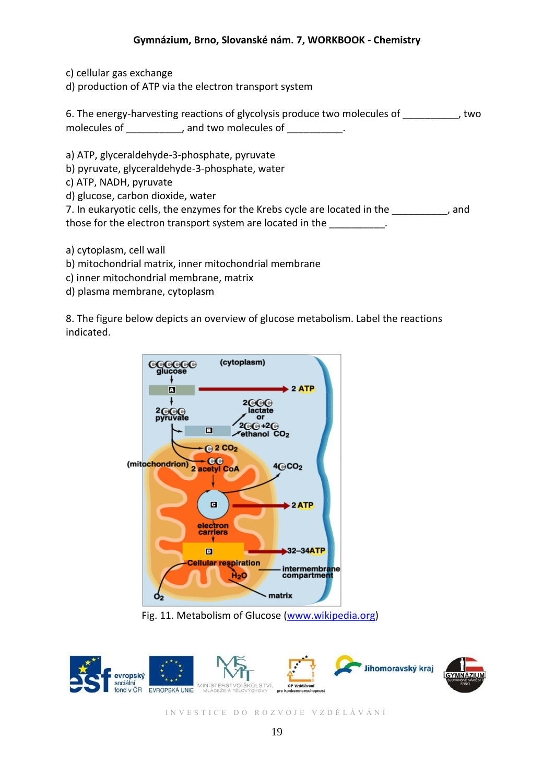### **Gymnázium, Brno, Slovanské nám. 7, WORKBOOK - Chemistry**

c) cellular gas exchange

d) production of ATP via the electron transport system

|              | 6. The energy-harvesting reactions of glycolysis produce two molecules of | two |
|--------------|---------------------------------------------------------------------------|-----|
| molecules of | and two molecules of                                                      |     |

a) ATP, glyceraldehyde-3-phosphate, pyruvate

b) pyruvate, glyceraldehyde-3-phosphate, water

c) ATP, NADH, pyruvate

d) glucose, carbon dioxide, water

| 7. In eukaryotic cells, the enzymes for the Krebs cycle are located in the | and |
|----------------------------------------------------------------------------|-----|
| those for the electron transport system are located in the                 |     |

a) cytoplasm, cell wall

- b) mitochondrial matrix, inner mitochondrial membrane
- c) inner mitochondrial membrane, matrix
- d) plasma membrane, cytoplasm

8. The figure below depicts an overview of glucose metabolism. Label the reactions indicated.



Fig. 11. Metabolism of Glucose [\(www.wikipedia.org\)](http://www.wikipedia.org/)

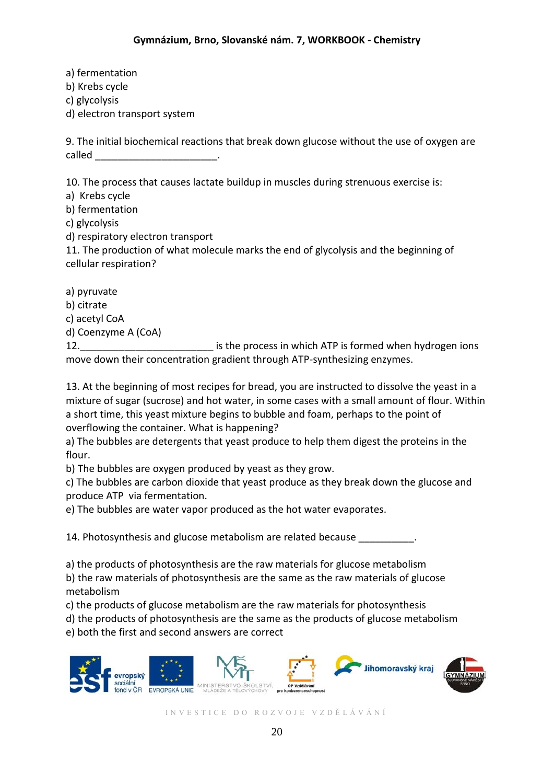a) fermentation b) Krebs cycle c) glycolysis d) electron transport system

9. The initial biochemical reactions that break down glucose without the use of oxygen are called \_\_\_\_\_\_\_\_\_\_\_\_\_\_\_\_\_\_\_\_\_\_.

10. The process that causes lactate buildup in muscles during strenuous exercise is:

a) Krebs cycle

b) fermentation

c) glycolysis

d) respiratory electron transport

11. The production of what molecule marks the end of glycolysis and the beginning of cellular respiration?

a) pyruvate

b) citrate

c) acetyl CoA

d) Coenzyme A (CoA)

12. **12.** The process in which ATP is formed when hydrogen ions move down their concentration gradient through ATP-synthesizing enzymes.

13. At the beginning of most recipes for bread, you are instructed to dissolve the yeast in a mixture of sugar (sucrose) and hot water, in some cases with a small amount of flour. Within a short time, this yeast mixture begins to bubble and foam, perhaps to the point of overflowing the container. What is happening?

a) The bubbles are detergents that yeast produce to help them digest the proteins in the flour.

b) The bubbles are oxygen produced by yeast as they grow.

c) The bubbles are carbon dioxide that yeast produce as they break down the glucose and produce ATP via fermentation.

e) The bubbles are water vapor produced as the hot water evaporates.

14. Photosynthesis and glucose metabolism are related because

a) the products of photosynthesis are the raw materials for glucose metabolism

b) the raw materials of photosynthesis are the same as the raw materials of glucose metabolism

c) the products of glucose metabolism are the raw materials for photosynthesis

d) the products of photosynthesis are the same as the products of glucose metabolism

e) both the first and second answers are correct

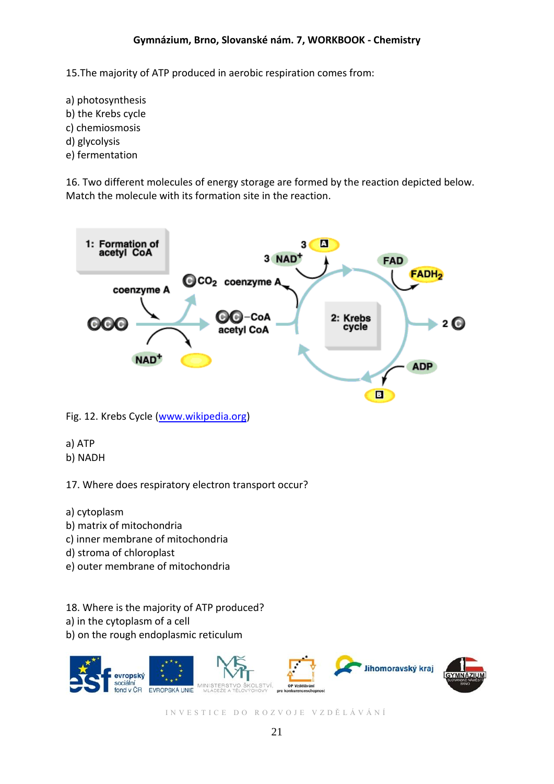15.The majority of ATP produced in aerobic respiration comes from:

a) photosynthesis b) the Krebs cycle c) chemiosmosis d) glycolysis e) fermentation

16. Two different molecules of energy storage are formed by the reaction depicted below. Match the molecule with its formation site in the reaction.



Fig. 12. Krebs Cycle [\(www.wikipedia.org\)](http://www.wikipedia.org/)

a) ATP b) NADH

17. Where does respiratory electron transport occur?

- a) cytoplasm
- b) matrix of mitochondria
- c) inner membrane of mitochondria
- d) stroma of chloroplast
- e) outer membrane of mitochondria
- 18. Where is the majority of ATP produced?
- a) in the cytoplasm of a cell
- b) on the rough endoplasmic reticulum

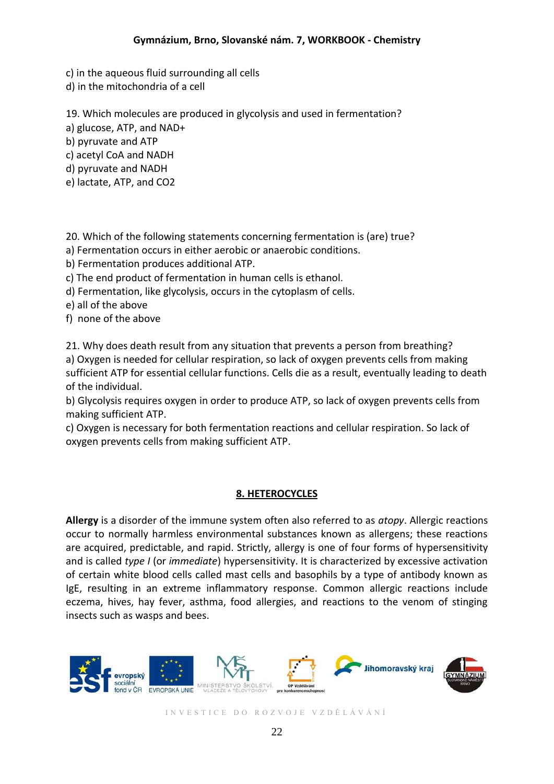c) in the aqueous fluid surrounding all cells

d) in the mitochondria of a cell

19. Which molecules are produced in glycolysis and used in fermentation?

a) glucose, ATP, and NAD+

b) pyruvate and ATP

c) acetyl CoA and NADH

d) pyruvate and NADH

e) lactate, ATP, and CO2

20. Which of the following statements concerning fermentation is (are) true?

a) Fermentation occurs in either aerobic or anaerobic conditions.

b) Fermentation produces additional ATP.

c) The end product of fermentation in human cells is ethanol.

d) Fermentation, like glycolysis, occurs in the cytoplasm of cells.

e) all of the above

f) none of the above

21. Why does death result from any situation that prevents a person from breathing? a) Oxygen is needed for cellular respiration, so lack of oxygen prevents cells from making sufficient ATP for essential cellular functions. Cells die as a result, eventually leading to death of the individual.

b) Glycolysis requires oxygen in order to produce ATP, so lack of oxygen prevents cells from making sufficient ATP.

c) Oxygen is necessary for both fermentation reactions and cellular respiration. So lack of oxygen prevents cells from making sufficient ATP.

# **8. HETEROCYCLES**

**Allergy** is a disorder of the immune system often also referred to as *atopy*. Allergic reactions occur to normally harmless environmental substances known as allergens; these reactions are acquired, predictable, and rapid. Strictly, allergy is one of four forms of hypersensitivity and is called *type I* (or *immediate*) hypersensitivity. It is characterized by excessive activation of certain white blood cells called mast cells and basophils by a type of antibody known as IgE, resulting in an extreme inflammatory response. Common allergic reactions include eczema, hives, hay fever, asthma, food allergies, and reactions to the venom of stinging insects such as wasps and bees.

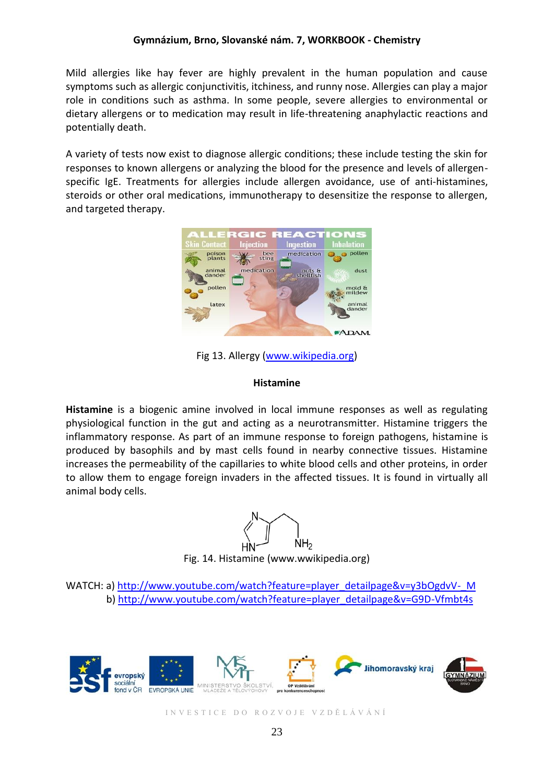### **Gymnázium, Brno, Slovanské nám. 7, WORKBOOK - Chemistry**

Mild allergies like hay fever are highly prevalent in the human population and cause symptoms such as allergic conjunctivitis, itchiness, and runny nose. Allergies can play a major role in conditions such as asthma. In some people, severe allergies to environmental or dietary allergens or to medication may result in life-threatening anaphylactic reactions and potentially death.

A variety of tests now exist to diagnose allergic conditions; these include testing the skin for responses to known allergens or analyzing the blood for the presence and levels of allergenspecific IgE. Treatments for allergies include allergen avoidance, use of anti-histamines, steroids or other oral medications, immunotherapy to desensitize the response to allergen, and targeted therapy.



Fig 13. Allergy [\(www.wikipedia.org\)](http://www.wikipedia.org/)

### **Histamine**

**Histamine** is a biogenic amine involved in local immune responses as well as regulating physiological function in the gut and acting as a neurotransmitter. Histamine triggers the inflammatory response. As part of an immune response to foreign pathogens, histamine is produced by basophils and by mast cells found in nearby connective tissues. Histamine increases the permeability of the capillaries to white blood cells and other proteins, in order to allow them to engage foreign invaders in the affected tissues. It is found in virtually all animal body cells.

 $NH<sub>2</sub>$ 

Fig. 14. Histamine (www.wwikipedia.org)

WATCH: a) [http://www.youtube.com/watch?feature=player\\_detailpage&v=y3bOgdvV-\\_M](http://www.youtube.com/watch?feature=player_detailpage&v=y3bOgdvV-_M) b) [http://www.youtube.com/watch?feature=player\\_detailpage&v=G9D-Vfmbt4s](http://www.youtube.com/watch?feature=player_detailpage&v=G9D-Vfmbt4s)

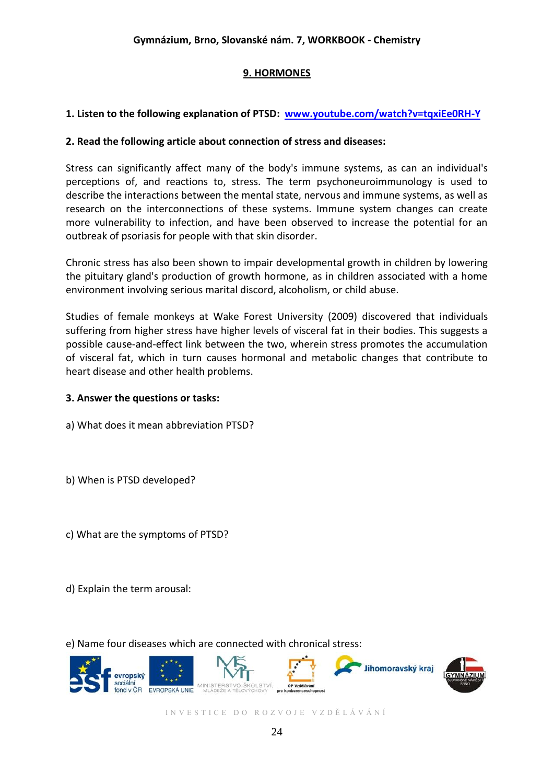# **9. HORMONES**

# **1. Listen to the following explanation of PTSD: [www.youtube.com/watch?v=tqxiEe0RH-Y](http://www.youtube.com/watch?v=tqxiEe0RH-Y)**

### **2. Read the following article about connection of stress and diseases:**

Stress can significantly affect many of the body's immune systems, as can an individual's perceptions of, and reactions to, stress. The term psychoneuroimmunology is used to describe the interactions between the mental state, nervous and immune systems, as well as research on the interconnections of these systems. Immune system changes can create more vulnerability to infection, and have been observed to increase the potential for an outbreak of psoriasis for people with that skin disorder.

Chronic stress has also been shown to impair developmental growth in children by lowering the pituitary gland's production of growth hormone, as in children associated with a home environment involving serious marital discord, alcoholism, or child abuse.

Studies of female monkeys at Wake Forest University (2009) discovered that individuals suffering from higher stress have higher levels of visceral fat in their bodies. This suggests a possible cause-and-effect link between the two, wherein stress promotes the accumulation of visceral fat, which in turn causes hormonal and metabolic changes that contribute to heart disease and other health problems.

### **3. Answer the questions or tasks:**

a) What does it mean abbreviation PTSD?

b) When is PTSD developed?

c) What are the symptoms of PTSD?

d) Explain the term arousal:

e) Name four diseases which are connected with chronical stress:

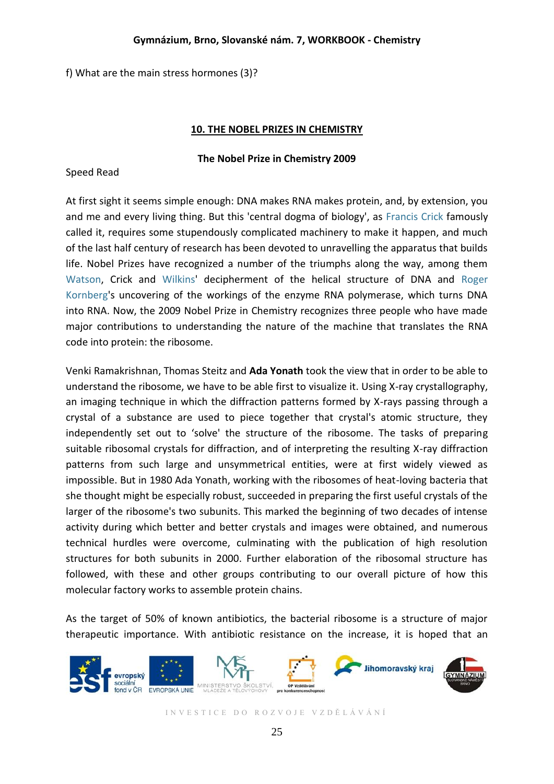### **Gymnázium, Brno, Slovanské nám. 7, WORKBOOK - Chemistry**

f) What are the main stress hormones (3)?

### **10. THE NOBEL PRIZES IN CHEMISTRY**

### **The Nobel Prize in Chemistry 2009**

### Speed Read

At first sight it seems simple enough: DNA makes RNA makes protein, and, by extension, you and me and every living thing. But this 'central dogma of biology', as [Francis Crick](http://nobelprize.org/nobel_prizes/medicine/laureates/1962/) famously called it, requires some stupendously complicated machinery to make it happen, and much of the last half century of research has been devoted to unravelling the apparatus that builds life. Nobel Prizes have recognized a number of the triumphs along the way, among them [Watson,](http://nobelprize.org/nobel_prizes/medicine/laureates/1962/) Crick and [Wilkins'](http://nobelprize.org/nobel_prizes/medicine/laureates/1962/) decipherment of the helical structure of DNA and [Roger](http://nobelprize.org/nobel_prizes/chemistry/laureates/2006/)  [Kornberg'](http://nobelprize.org/nobel_prizes/chemistry/laureates/2006/)s uncovering of the workings of the enzyme RNA polymerase, which turns DNA into RNA. Now, the 2009 Nobel Prize in Chemistry recognizes three people who have made major contributions to understanding the nature of the machine that translates the RNA code into protein: the ribosome.

Venki Ramakrishnan, Thomas Steitz and **Ada Yonath** took the view that in order to be able to understand the ribosome, we have to be able first to visualize it. Using X-ray crystallography, an imaging technique in which the diffraction patterns formed by X-rays passing through a crystal of a substance are used to piece together that crystal's atomic structure, they independently set out to 'solve' the structure of the ribosome. The tasks of preparing suitable ribosomal crystals for diffraction, and of interpreting the resulting X-ray diffraction patterns from such large and unsymmetrical entities, were at first widely viewed as impossible. But in 1980 Ada Yonath, working with the ribosomes of heat-loving bacteria that she thought might be especially robust, succeeded in preparing the first useful crystals of the larger of the ribosome's two subunits. This marked the beginning of two decades of intense activity during which better and better crystals and images were obtained, and numerous technical hurdles were overcome, culminating with the publication of high resolution structures for both subunits in 2000. Further elaboration of the ribosomal structure has followed, with these and other groups contributing to our overall picture of how this molecular factory works to assemble protein chains.

As the target of 50% of known antibiotics, the bacterial ribosome is a structure of major therapeutic importance. With antibiotic resistance on the increase, it is hoped that an

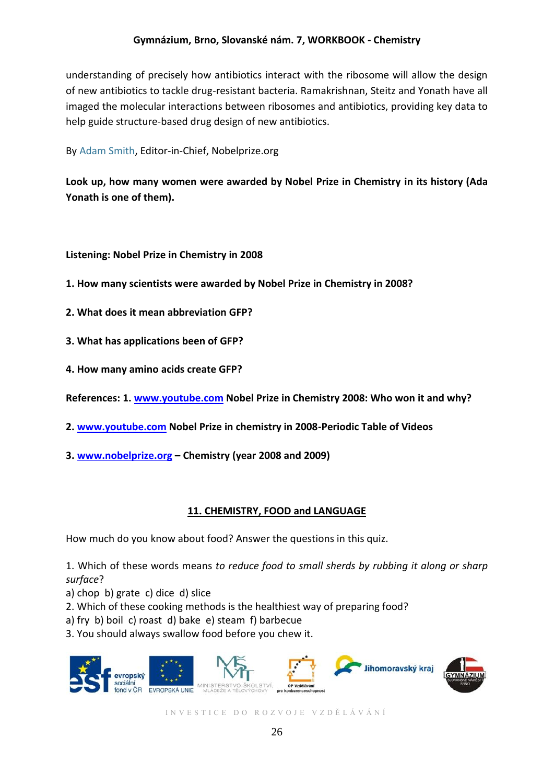# **Gymnázium, Brno, Slovanské nám. 7, WORKBOOK - Chemistry**

understanding of precisely how antibiotics interact with the ribosome will allow the design of new antibiotics to tackle drug-resistant bacteria. Ramakrishnan, Steitz and Yonath have all imaged the molecular interactions between ribosomes and antibiotics, providing key data to help guide structure-based drug design of new antibiotics.

By [Adam Smith,](mailto:editor@nobelprize.org) Editor-in-Chief, Nobelprize.org

**Look up, how many women were awarded by Nobel Prize in Chemistry in its history (Ada Yonath is one of them).**

**Listening: Nobel Prize in Chemistry in 2008**

- **1. How many scientists were awarded by Nobel Prize in Chemistry in 2008?**
- **2. What does it mean abbreviation GFP?**
- **3. What has applications been of GFP?**
- **4. How many amino acids create GFP?**
- **References: 1. [www.youtube.com](http://www.youtube.com/) Nobel Prize in Chemistry 2008: Who won it and why?**
- **2. [www.youtube.com](http://www.youtube.com/) Nobel Prize in chemistry in 2008-Periodic Table of Videos**
- **3. [www.nobelprize.org](http://www.nobelprize.org/) – Chemistry (year 2008 and 2009)**

# **11. CHEMISTRY, FOOD and LANGUAGE**

How much do you know about food? Answer the questions in this quiz.

1. Which of these words means *to reduce food to small sherds by rubbing it along or sharp surface*?

- a) chop b) grate c) dice d) slice
- 2. Which of these cooking methods is the healthiest way of preparing food?
- a) fry b) boil c) roast d) bake e) steam f) barbecue
- 3. You should always swallow food before you chew it.

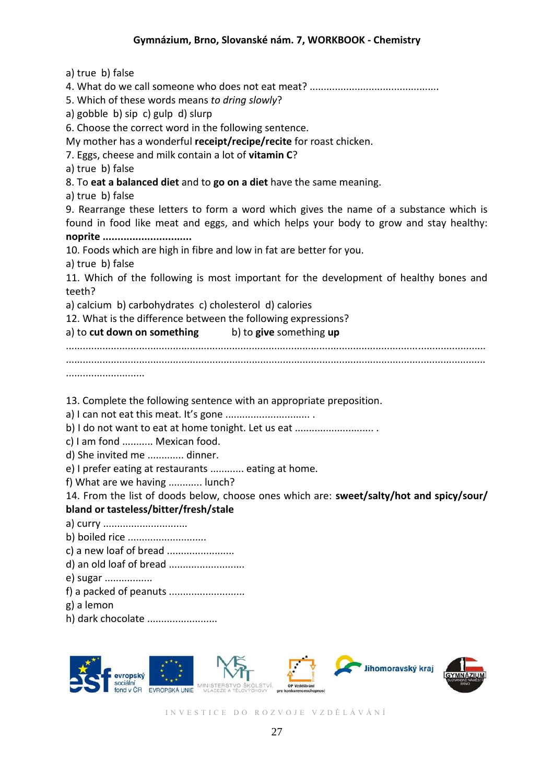a) true b) false 4. What do we call someone who does not eat meat? .............................................. 5. Which of these words means *to dring slowly*? a) gobble b) sip c) gulp d) slurp 6. Choose the correct word in the following sentence. My mother has a wonderful **receipt/recipe/recite** for roast chicken. 7. Eggs, cheese and milk contain a lot of **vitamin C**? a) true b) false 8. To **eat a balanced diet** and to **go on a diet** have the same meaning. a) true b) false 9. Rearrange these letters to form a word which gives the name of a substance which is found in food like meat and eggs, and which helps your body to grow and stay healthy: **noprite ..............................** 10. Foods which are high in fibre and low in fat are better for you. a) true b) false 11. Which of the following is most important for the development of healthy bones and teeth? a) calcium b) carbohydrates c) cholesterol d) calories 12. What is the difference between the following expressions? a) to **cut down on something** b) to **give** something **up** ..................................................................................................................................................... ..................................................................................................................................................... ............................ 13. Complete the following sentence with an appropriate preposition. a) I can not eat this meat. It's gone .............................. . b) I do not want to eat at home tonight. Let us eat ............................. c) I am fond ........... Mexican food. d) She invited me ............. dinner. e) I prefer eating at restaurants ............ eating at home. f) What are we having ............ lunch? 14. From the list of doods below, choose ones which are: **sweet/salty/hot and spicy/sour/ bland or tasteless/bitter/fresh/stale** a) curry .............................. b) boiled rice ............................ c) a new loaf of bread ........................ d) an old loaf of bread ........................... e) sugar ................. f) a packed of peanuts ........................... g) a lemon h) dark chocolate .........................